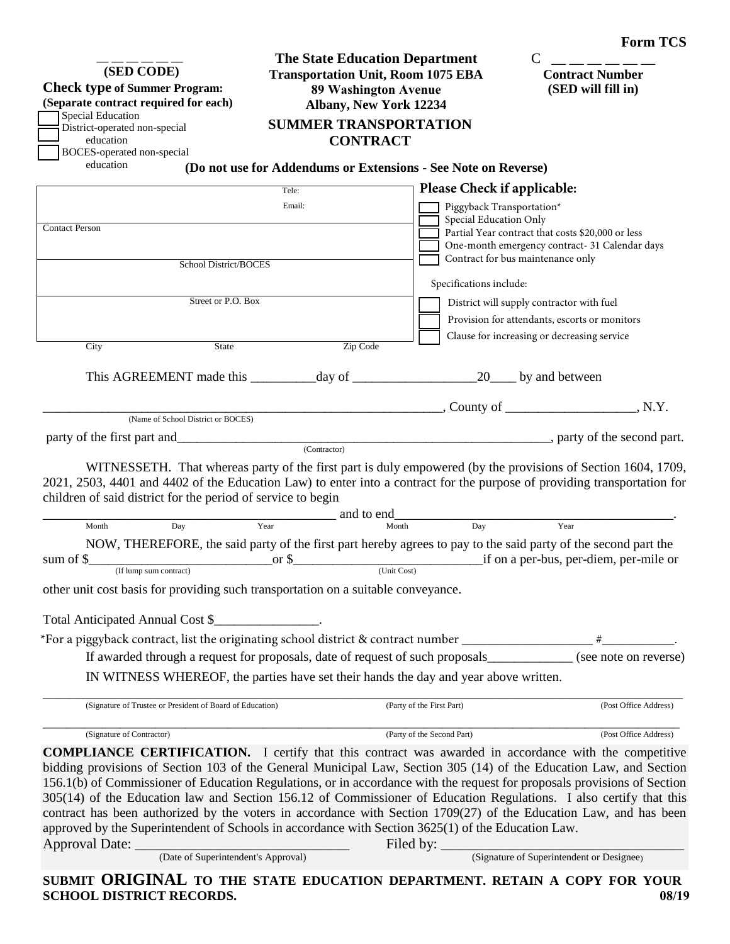| (SED CODE)<br><b>Check type of Summer Program:</b><br>(Separate contract required for each)<br>Special Education<br>District-operated non-special<br>education<br>BOCES-operated non-special<br>education | <b>The State Education Department</b><br><b>Transportation Unit, Room 1075 EBA</b><br><b>89 Washington Avenue</b><br>Albany, New York 12234<br><b>SUMMER TRANSPORTATION</b><br><b>CONTRACT</b><br>(Do not use for Addendums or Extensions - See Note on Reverse) |                                                     | <b>Contract Number</b><br>(SED will fill in)                                                                                                                                                                                   |
|-----------------------------------------------------------------------------------------------------------------------------------------------------------------------------------------------------------|------------------------------------------------------------------------------------------------------------------------------------------------------------------------------------------------------------------------------------------------------------------|-----------------------------------------------------|--------------------------------------------------------------------------------------------------------------------------------------------------------------------------------------------------------------------------------|
|                                                                                                                                                                                                           | Tele:                                                                                                                                                                                                                                                            | Please Check if applicable:                         |                                                                                                                                                                                                                                |
| <b>Contact Person</b><br>School District/BOCES                                                                                                                                                            | Email:                                                                                                                                                                                                                                                           | Piggyback Transportation*<br>Special Education Only | Partial Year contract that costs \$20,000 or less<br>One-month emergency contract- 31 Calendar days<br>Contract for bus maintenance only                                                                                       |
|                                                                                                                                                                                                           |                                                                                                                                                                                                                                                                  | Specifications include:                             |                                                                                                                                                                                                                                |
| Street or P.O. Box                                                                                                                                                                                        |                                                                                                                                                                                                                                                                  |                                                     | District will supply contractor with fuel<br>Provision for attendants, escorts or monitors<br>Clause for increasing or decreasing service                                                                                      |
| City<br><b>State</b>                                                                                                                                                                                      | Zip Code                                                                                                                                                                                                                                                         |                                                     |                                                                                                                                                                                                                                |
| This AGREEMENT made this day of 20 by and between                                                                                                                                                         |                                                                                                                                                                                                                                                                  |                                                     |                                                                                                                                                                                                                                |
| (Name of School District or BOCES)                                                                                                                                                                        |                                                                                                                                                                                                                                                                  |                                                     | $\sim$ County of $\sim$ N.Y.                                                                                                                                                                                                   |
|                                                                                                                                                                                                           |                                                                                                                                                                                                                                                                  |                                                     | example and part and part and part and part and part and part and part and part and part and part and part and part and part and part and part and part and part and part and part and part and part and part and part and par |
| 2021, 2503, 4401 and 4402 of the Education Law) to enter into a contract for the purpose of providing transportation for                                                                                  | (Contractor)                                                                                                                                                                                                                                                     |                                                     | WITNESSETH. That whereas party of the first part is duly empowered (by the provisions of Section 1604, 1709,                                                                                                                   |
| children of said district for the period of service to begin                                                                                                                                              |                                                                                                                                                                                                                                                                  |                                                     |                                                                                                                                                                                                                                |
| Day<br>Month                                                                                                                                                                                              | and to end<br>Year<br>Month                                                                                                                                                                                                                                      | $\overline{Day}$                                    | Year                                                                                                                                                                                                                           |
| NOW, THEREFORE, the said party of the first part hereby agrees to pay to the said party of the second part the<br>(If lump sum contract)<br>sum of $\$$                                                   | or $\$\$<br>(Unit Cost)                                                                                                                                                                                                                                          |                                                     | if on a per-bus, per-diem, per-mile or                                                                                                                                                                                         |
| other unit cost basis for providing such transportation on a suitable conveyance.                                                                                                                         |                                                                                                                                                                                                                                                                  |                                                     |                                                                                                                                                                                                                                |
| Total Anticipated Annual Cost \$                                                                                                                                                                          |                                                                                                                                                                                                                                                                  |                                                     |                                                                                                                                                                                                                                |
| *For a piggyback contract, list the originating school district & contract number ____________________________                                                                                            |                                                                                                                                                                                                                                                                  |                                                     |                                                                                                                                                                                                                                |
| If awarded through a request for proposals, date of request of such proposals                                                                                                                             |                                                                                                                                                                                                                                                                  |                                                     | (see note on reverse)                                                                                                                                                                                                          |
| IN WITNESS WHEREOF, the parties have set their hands the day and year above written.                                                                                                                      |                                                                                                                                                                                                                                                                  |                                                     |                                                                                                                                                                                                                                |
| (Signature of Trustee or President of Board of Education)                                                                                                                                                 |                                                                                                                                                                                                                                                                  | (Party of the First Part)                           | (Post Office Address)                                                                                                                                                                                                          |
| (Signature of Contractor)                                                                                                                                                                                 |                                                                                                                                                                                                                                                                  | (Party of the Second Part)                          | (Post Office Address)                                                                                                                                                                                                          |
| <b>COMPLIANCE CERTIFICATION.</b> I certify that this contract was awarded in accordance with the competitive                                                                                              |                                                                                                                                                                                                                                                                  |                                                     |                                                                                                                                                                                                                                |

bidding provisions of Section 103 of the General Municipal Law, Section 305 (14) of the Education Law, and Section 156.1(b) of Commissioner of Education Regulations, or in accordance with the request for proposals provisions of Section 305(14) of the Education law and Section 156.12 of Commissioner of Education Regulations. I also certify that this contract has been authorized by the voters in accordance with Section 1709(27) of the Education Law, and has been approved by the Superintendent of Schools in accordance with Section 3625(1) of the Education Law. Approval Date: \_\_\_\_\_\_\_\_\_\_\_\_\_\_\_\_\_\_\_\_\_\_\_\_\_\_\_\_\_\_ Filed by: \_\_\_\_\_\_\_\_\_\_\_\_\_\_\_\_\_\_\_\_\_\_\_\_\_\_\_\_\_\_\_\_\_\_

(Signature of Superintendent or Designee)

**SUBMIT ORIGINAL TO THE STATE EDUCATION DEPARTMENT. RETAIN A COPY FOR YOUR SCHOOL DISTRICT RECORDS. 08/19**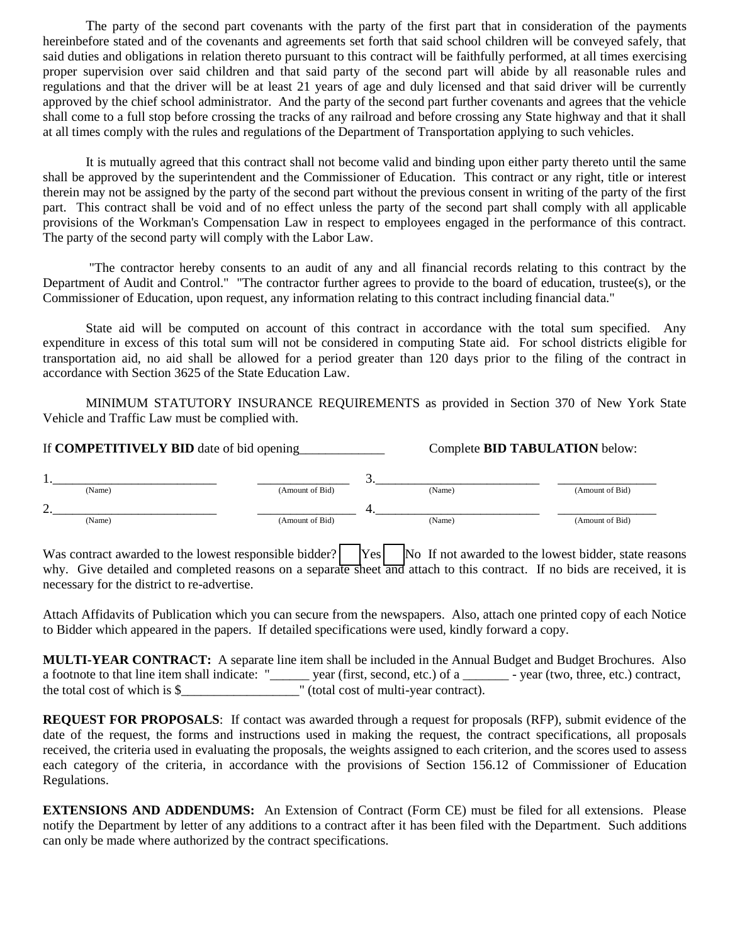The party of the second part covenants with the party of the first part that in consideration of the payments hereinbefore stated and of the covenants and agreements set forth that said school children will be conveyed safely, that said duties and obligations in relation thereto pursuant to this contract will be faithfully performed, at all times exercising proper supervision over said children and that said party of the second part will abide by all reasonable rules and regulations and that the driver will be at least 21 years of age and duly licensed and that said driver will be currently approved by the chief school administrator. And the party of the second part further covenants and agrees that the vehicle shall come to a full stop before crossing the tracks of any railroad and before crossing any State highway and that it shall at all times comply with the rules and regulations of the Department of Transportation applying to such vehicles.

It is mutually agreed that this contract shall not become valid and binding upon either party thereto until the same shall be approved by the superintendent and the Commissioner of Education. This contract or any right, title or interest therein may not be assigned by the party of the second part without the previous consent in writing of the party of the first part. This contract shall be void and of no effect unless the party of the second part shall comply with all applicable provisions of the Workman's Compensation Law in respect to employees engaged in the performance of this contract. The party of the second party will comply with the Labor Law.

"The contractor hereby consents to an audit of any and all financial records relating to this contract by the Department of Audit and Control." "The contractor further agrees to provide to the board of education, trustee(s), or the Commissioner of Education, upon request, any information relating to this contract including financial data."

State aid will be computed on account of this contract in accordance with the total sum specified. Any expenditure in excess of this total sum will not be considered in computing State aid. For school districts eligible for transportation aid, no aid shall be allowed for a period greater than 120 days prior to the filing of the contract in accordance with Section 3625 of the State Education Law.

MINIMUM STATUTORY INSURANCE REQUIREMENTS as provided in Section 370 of New York State Vehicle and Traffic Law must be complied with.

| If <b>COMPETITIVELY BID</b> date of bid opening |                 | Complete <b>BID TABULATION</b> below: |                 |
|-------------------------------------------------|-----------------|---------------------------------------|-----------------|
|                                                 |                 |                                       |                 |
| (Name)                                          | (Amount of Bid) | (Name)                                | (Amount of Bid) |
|                                                 |                 |                                       |                 |
| (Name)                                          | (Amount of Bid) | (Name)                                | (Amount of Bid) |

Was contract awarded to the lowest responsible bidder? [Yes] No If not awarded to the lowest bidder, state reasons why. Give detailed and completed reasons on a separate sheet and attach to this contract. If no bids are received, it is necessary for the district to re-advertise.

Attach Affidavits of Publication which you can secure from the newspapers. Also, attach one printed copy of each Notice to Bidder which appeared in the papers. If detailed specifications were used, kindly forward a copy.

|                                                | <b>MULTI-YEAR CONTRACT:</b> A separate line item shall be included in the Annual Budget and Budget Brochures. Also |                                                 |
|------------------------------------------------|--------------------------------------------------------------------------------------------------------------------|-------------------------------------------------|
| a footnote to that line item shall indicate: " | year (first, second, etc.) of a                                                                                    | $\rightarrow$ year (two, three, etc.) contract, |
| the total cost of which is $\$                 | " (total cost of multi-year contract).                                                                             |                                                 |

**REQUEST FOR PROPOSALS**: If contact was awarded through a request for proposals (RFP), submit evidence of the date of the request, the forms and instructions used in making the request, the contract specifications, all proposals received, the criteria used in evaluating the proposals, the weights assigned to each criterion, and the scores used to assess each category of the criteria, in accordance with the provisions of Section 156.12 of Commissioner of Education Regulations.

**EXTENSIONS AND ADDENDUMS:** An Extension of Contract (Form CE) must be filed for all extensions. Please notify the Department by letter of any additions to a contract after it has been filed with the Department. Such additions can only be made where authorized by the contract specifications.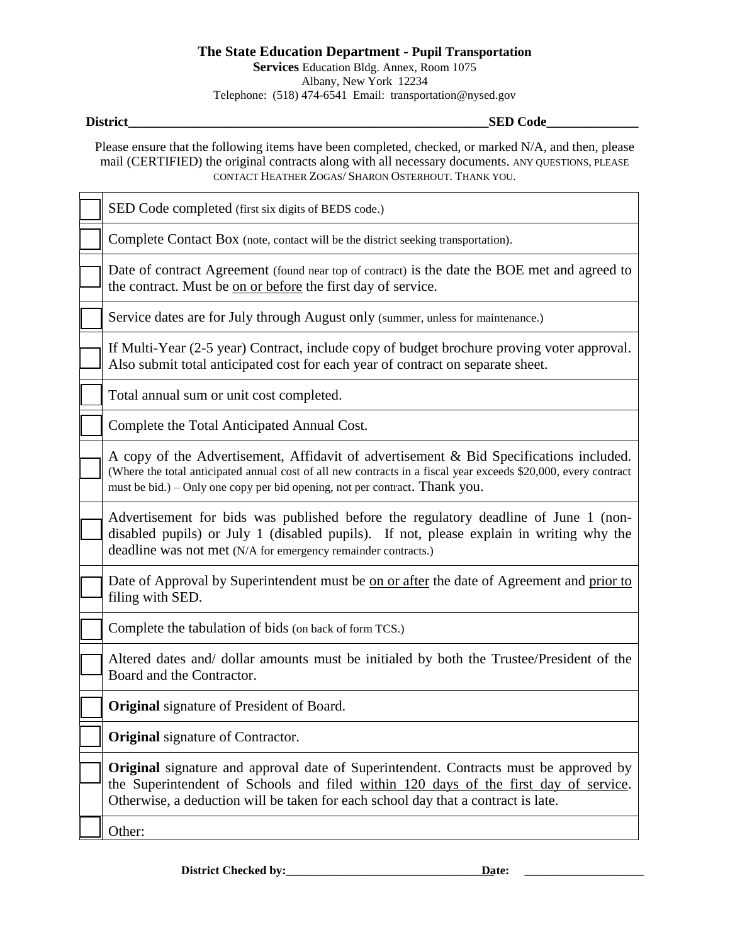## **The State Education Department - Pupil Transportation Services** Education Bldg. Annex, Room 1075 Albany, New York 12234 Telephone: (518) 474-6541 Email: transportation@nysed.gov

**District** the contract of the contract of the contract of the contract of the contract of the contract of the contract of the contract of the contract of the contract of the contract of the contract of the contract of the

Please ensure that the following items have been completed, checked, or marked N/A, and then, please mail (CERTIFIED) the original contracts along with all necessary documents. ANY QUESTIONS, PLEASE CONTACT HEATHER ZOGAS/ SHARON OSTERHOUT. THANK YOU.

SED Code completed (first six digits of BEDS code.)

Complete Contact Box (note, contact will be the district seeking transportation).

Date of contract Agreement (found near top of contract) is the date the BOE met and agreed to the contract. Must be on or before the first day of service.

Service dates are for July through August only (summer, unless for maintenance.)

If Multi-Year (2-5 year) Contract, include copy of budget brochure proving voter approval. Also submit total anticipated cost for each year of contract on separate sheet.

Total annual sum or unit cost completed.

Complete the Total Anticipated Annual Cost.

A copy of the Advertisement, Affidavit of advertisement & Bid Specifications included. (Where the total anticipated annual cost of all new contracts in a fiscal year exceeds \$20,000, every contract must be bid.) – Only one copy per bid opening, not per contract. Thank you.

Advertisement for bids was published before the regulatory deadline of June 1 (nondisabled pupils) or July 1 (disabled pupils). If not, please explain in writing why the deadline was not met (N/A for emergency remainder contracts.)

Date of Approval by Superintendent must be on or after the date of Agreement and prior to filing with SED.

Complete the tabulation of bids (on back of form TCS.)

Altered dates and/ dollar amounts must be initialed by both the Trustee/President of the Board and the Contractor.

**Original** signature of President of Board.

**Original** signature of Contractor.

**Original** signature and approval date of Superintendent. Contracts must be approved by the Superintendent of Schools and filed within 120 days of the first day of service. Otherwise, a deduction will be taken for each school day that a contract is late.

Other:

**District Checked by:\_\_\_\_\_\_\_\_\_\_\_\_\_\_\_\_\_\_\_\_\_\_\_\_\_\_\_\_\_\_\_\_\_\_\_ Date: \_\_\_\_\_\_\_\_\_\_\_\_\_\_\_\_\_\_\_\_**